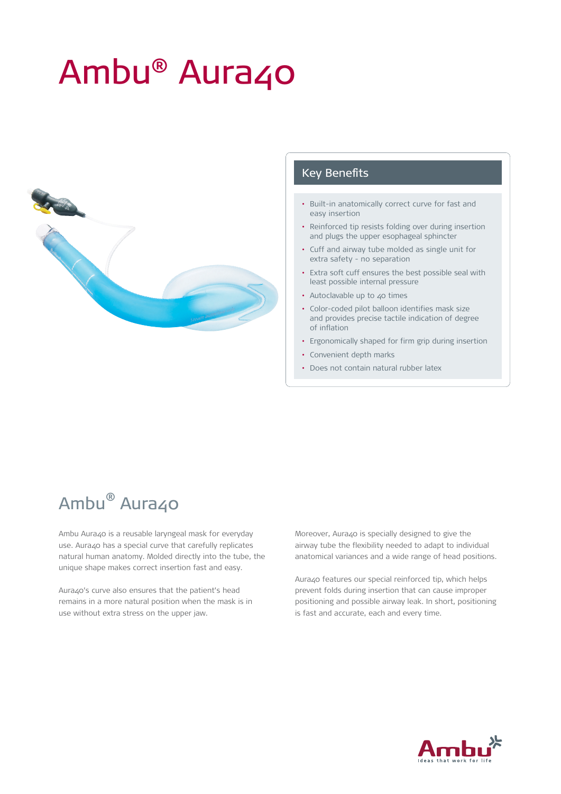# Ambu<sup>®</sup> Aura40



#### Key Benefits

- Built-in anatomically correct curve for fast and easy insertion
- Reinforced tip resists folding over during insertion and plugs the upper esophageal sphincter
- Cuff and airway tube molded as single unit for extra safety - no separation
- Extra soft cuff ensures the best possible seal with least possible internal pressure
- Autoclavable up to 40 times
- Color-coded pilot balloon identifies mask size and provides precise tactile indication of degree of inflation
- Ergonomically shaped for firm grip during insertion
- Convenient depth marks
- Does not contain natural rubber latex

## Ambu<sup>®</sup> Aura40

Ambu Aura40 is a reusable laryngeal mask for everyday use. Aura40 has a special curve that carefully replicates natural human anatomy. Molded directly into the tube, the unique shape makes correct insertion fast and easy.

Aura40's curve also ensures that the patient's head remains in a more natural position when the mask is in use without extra stress on the upper jaw.

Moreover, Aura40 is specially designed to give the airway tube the flexibility needed to adapt to individual anatomical variances and a wide range of head positions.

Aura40 features our special reinforced tip, which helps prevent folds during insertion that can cause improper positioning and possible airway leak. In short, positioning is fast and accurate, each and every time.